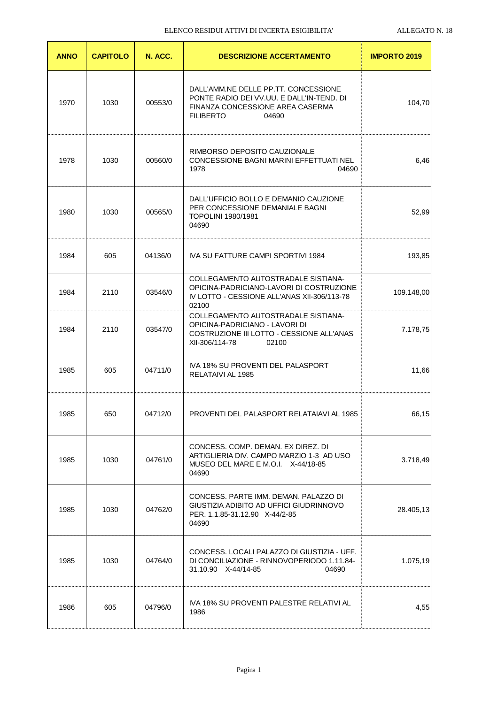| <b>ANNO</b> | <b>CAPITOLO</b> | N. ACC. | <b>DESCRIZIONE ACCERTAMENTO</b>                                                                                                                    | <b>IMPORTO 2019</b> |
|-------------|-----------------|---------|----------------------------------------------------------------------------------------------------------------------------------------------------|---------------------|
| 1970        | 1030            | 00553/0 | DALL'AMM.NE DELLE PP.TT. CONCESSIONE<br>PONTE RADIO DEI VV.UU. E DALL'IN-TEND. DI<br>FINANZA CONCESSIONE AREA CASERMA<br><b>FILIBERTO</b><br>04690 | 104,70              |
| 1978        | 1030            | 00560/0 | RIMBORSO DEPOSITO CAUZIONALE<br>CONCESSIONE BAGNI MARINI EFFETTUATI NEL<br>1978<br>04690                                                           | 6,46                |
| 1980        | 1030            | 00565/0 | DALL'UFFICIO BOLLO E DEMANIO CAUZIONE<br>PER CONCESSIONE DEMANIALE BAGNI<br><b>TOPOLINI 1980/1981</b><br>04690                                     | 52,99               |
| 1984        | 605             | 04136/0 | IVA SU FATTURE CAMPI SPORTIVI 1984                                                                                                                 | 193,85              |
| 1984        | 2110            | 03546/0 | COLLEGAMENTO AUTOSTRADALE SISTIANA-<br>OPICINA-PADRICIANO-LAVORI DI COSTRUZIONE<br>IV LOTTO - CESSIONE ALL'ANAS XII-306/113-78<br>02100            | 109.148,00          |
| 1984        | 2110            | 03547/0 | COLLEGAMENTO AUTOSTRADALE SISTIANA-<br>OPICINA-PADRICIANO - LAVORI DI<br>COSTRUZIONE III LOTTO - CESSIONE ALL'ANAS<br>XII-306/114-78<br>02100      | 7.178,75            |
| 1985        | 605             | 04711/0 | IVA 18% SU PROVENTI DEL PALASPORT<br>RELATAIVI AL 1985                                                                                             | 11,66               |
| 1985        | 650             | 04712/0 | PROVENTI DEL PALASPORT RELATAJAVI AL 1985                                                                                                          | 66.15               |
| 1985        | 1030            | 04761/0 | CONCESS, COMP, DEMAN, EX DIREZ, DI<br>ARTIGLIERIA DIV. CAMPO MARZIO 1-3 AD USO<br>MUSEO DEL MARE E M.O.I. X-44/18-85<br>04690                      | 3.718,49            |
| 1985        | 1030            | 04762/0 | CONCESS, PARTE IMM, DEMAN, PALAZZO DI<br>GIUSTIZIA ADIBITO AD UFFICI GIUDRINNOVO<br>PER. 1.1.85-31.12.90 X-44/2-85<br>04690                        | 28.405,13           |
| 1985        | 1030            | 04764/0 | CONCESS. LOCALI PALAZZO DI GIUSTIZIA - UFF.<br>DI CONCILIAZIONE - RINNOVOPERIODO 1.11.84-<br>31.10.90 X-44/14-85<br>04690                          | 1.075,19            |
| 1986        | 605             | 04796/0 | IVA 18% SU PROVENTI PALESTRE RELATIVI AL<br>1986                                                                                                   | 4,55                |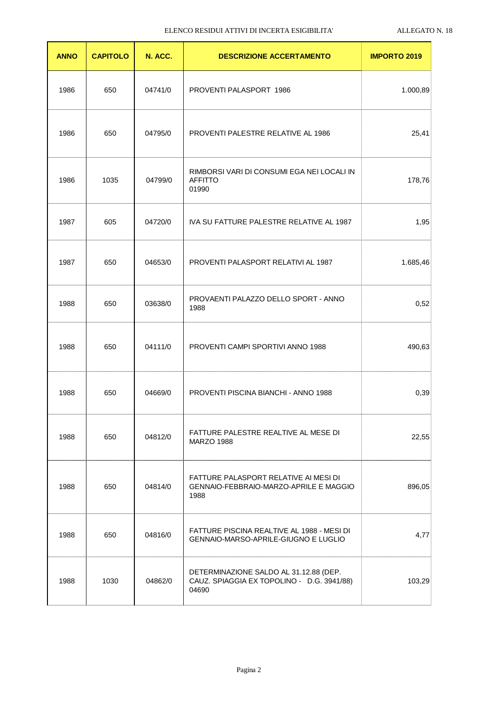| <b>ANNO</b> | <b>CAPITOLO</b> | N. ACC. | <b>DESCRIZIONE ACCERTAMENTO</b>                                                               | <b>IMPORTO 2019</b> |
|-------------|-----------------|---------|-----------------------------------------------------------------------------------------------|---------------------|
| 1986        | 650             | 04741/0 | PROVENTI PALASPORT 1986                                                                       | 1.000,89            |
| 1986        | 650             | 04795/0 | PROVENTI PALESTRE RELATIVE AL 1986                                                            | 25,41               |
| 1986        | 1035            | 04799/0 | RIMBORSI VARI DI CONSUMI EGA NEI LOCALI IN<br><b>AFFITTO</b><br>01990                         | 178,76              |
| 1987        | 605             | 04720/0 | IVA SU FATTURE PALESTRE RELATIVE AL 1987                                                      | 1,95                |
| 1987        | 650             | 04653/0 | PROVENTI PALASPORT RELATIVI AL 1987                                                           | 1.685,46            |
| 1988        | 650             | 03638/0 | PROVAENTI PALAZZO DELLO SPORT - ANNO<br>1988                                                  | 0,52                |
| 1988        | 650             | 04111/0 | PROVENTI CAMPI SPORTIVI ANNO 1988                                                             | 490,63              |
| 1988        | 650             | 04669/0 | PROVENTI PISCINA BIANCHI - ANNO 1988                                                          | 0,39                |
| 1988        | 650             | 04812/0 | FATTURE PALESTRE REALTIVE AL MESE DI<br><b>MARZO 1988</b>                                     | 22,55               |
| 1988        | 650             | 04814/0 | FATTURE PALASPORT RELATIVE AI MESI DI<br>GENNAIO-FEBBRAIO-MARZO-APRILE E MAGGIO<br>1988       | 896,05              |
| 1988        | 650             | 04816/0 | FATTURE PISCINA REALTIVE AL 1988 - MESI DI<br>GENNAIO-MARSO-APRILE-GIUGNO E LUGLIO            | 4,77                |
| 1988        | 1030            | 04862/0 | DETERMINAZIONE SALDO AL 31.12.88 (DEP.<br>CAUZ. SPIAGGIA EX TOPOLINO - D.G. 3941/88)<br>04690 | 103,29              |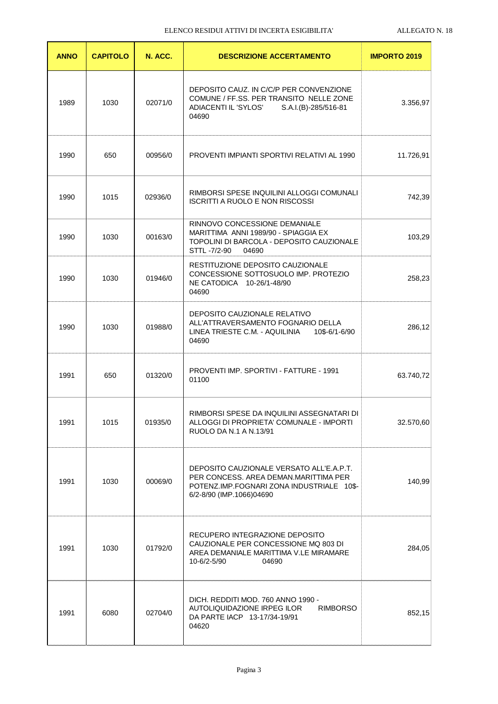| <b>ANNO</b> | <b>CAPITOLO</b> | N. ACC. | <b>DESCRIZIONE ACCERTAMENTO</b>                                                                                                                             | <b>IMPORTO 2019</b> |
|-------------|-----------------|---------|-------------------------------------------------------------------------------------------------------------------------------------------------------------|---------------------|
| 1989        | 1030            | 02071/0 | DEPOSITO CAUZ. IN C/C/P PER CONVENZIONE<br>COMUNE / FF.SS. PER TRANSITO NELLE ZONE<br>ADIACENTI IL 'SYLOS' S.A.I.(B)-285/516-81<br>04690                    | 3.356,97            |
| 1990        | 650             | 00956/0 | PROVENTI IMPIANTI SPORTIVI RELATIVI AL 1990                                                                                                                 | 11.726,91           |
| 1990        | 1015            | 02936/0 | RIMBORSI SPESE INQUILINI ALLOGGI COMUNALI<br><b>ISCRITTI A RUOLO E NON RISCOSSI</b>                                                                         | 742,39              |
| 1990        | 1030            | 00163/0 | RINNOVO CONCESSIONE DEMANIALE<br>MARITTIMA ANNI 1989/90 - SPIAGGIA EX<br>TOPOLINI DI BARCOLA - DEPOSITO CAUZIONALE<br>STTL -7/2-90<br>04690                 | 103,29              |
| 1990        | 1030            | 01946/0 | RESTITUZIONE DEPOSITO CAUZIONALE<br>CONCESSIONE SOTTOSUOLO IMP. PROTEZIO<br>NE CATODICA 10-26/1-48/90<br>04690                                              | 258,23              |
| 1990        | 1030            | 01988/0 | DEPOSITO CAUZIONALE RELATIVO<br>ALL'ATTRAVERSAMENTO FOGNARIO DELLA<br>LINEA TRIESTE C.M. - AQUILINIA<br>10\$-6/1-6/90<br>04690                              | 286,12              |
| 1991        | 650             | 01320/0 | <b>PROVENTI IMP. SPORTIVI - FATTURE - 1991</b><br>01100                                                                                                     | 63.740,72           |
| 1991        | 1015            | 01935/0 | RIMBORSI SPESE DA INQUILINI ASSEGNATARI DI<br>ALLOGGI DI PROPRIETA' COMUNALE - IMPORTI<br>RUOLO DA N.1 A N.13/91                                            | 32.570,60           |
| 1991        | 1030            | 00069/0 | DEPOSITO CAUZIONALE VERSATO ALL'E.A.P.T.<br>PER CONCESS, AREA DEMAN, MARITTIMA PER<br>POTENZ.IMP.FOGNARI ZONA INDUSTRIALE 10\$-<br>6/2-8/90 (IMP.1066)04690 | 140,99              |
| 1991        | 1030            | 01792/0 | RECUPERO INTEGRAZIONE DEPOSITO<br>CAUZIONALE PER CONCESSIONE MQ 803 DI<br>AREA DEMANIALE MARITTIMA V.LE MIRAMARE<br>10-6/2-5/90<br>04690                    | 284,05              |
| 1991        | 6080            | 02704/0 | DICH. REDDITI MOD. 760 ANNO 1990 -<br>AUTOLIQUIDAZIONE IRPEG ILOR<br><b>RIMBORSO</b><br>DA PARTE IACP 13-17/34-19/91<br>04620                               | 852,15              |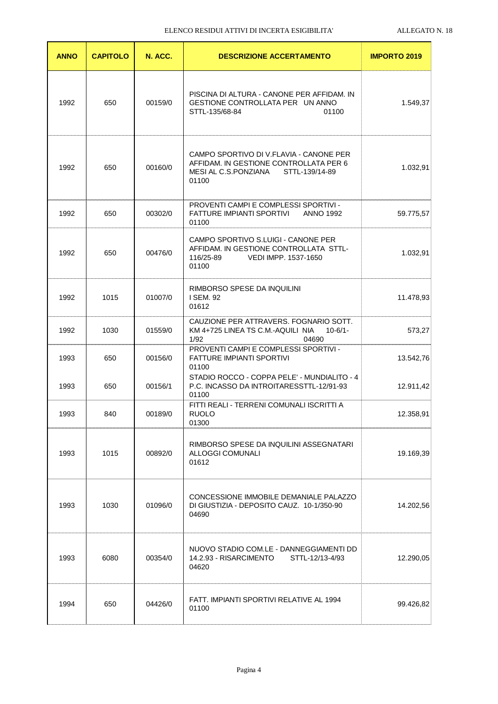| <b>ANNO</b> | <b>CAPITOLO</b> | N. ACC. | <b>DESCRIZIONE ACCERTAMENTO</b>                                                                                                      | <b>IMPORTO 2019</b> |
|-------------|-----------------|---------|--------------------------------------------------------------------------------------------------------------------------------------|---------------------|
| 1992        | 650             | 00159/0 | PISCINA DI ALTURA - CANONE PER AFFIDAM. IN<br>GESTIONE CONTROLLATA PER UN ANNO<br>STTL-135/68-84<br>01100                            | 1.549,37            |
| 1992        | 650             | 00160/0 | CAMPO SPORTIVO DI V.FLAVIA - CANONE PER<br>AFFIDAM. IN GESTIONE CONTROLLATA PER 6<br>MESI AL C.S.PONZIANA<br>STTL-139/14-89<br>01100 | 1.032,91            |
| 1992        | 650             | 00302/0 | PROVENTI CAMPI E COMPLESSI SPORTIVI -<br>FATTURE IMPIANTI SPORTIVI<br><b>ANNO 1992</b><br>01100                                      | 59.775,57           |
| 1992        | 650             | 00476/0 | CAMPO SPORTIVO S.LUIGI - CANONE PER<br>AFFIDAM. IN GESTIONE CONTROLLATA STTL-<br>116/25-89<br>VEDI IMPP, 1537-1650<br>01100          | 1.032,91            |
| 1992        | 1015            | 01007/0 | RIMBORSO SPESE DA INQUILINI<br>I SEM. 92<br>01612                                                                                    | 11.478,93           |
| 1992        | 1030            | 01559/0 | CAUZIONE PER ATTRAVERS. FOGNARIO SOTT.<br>KM 4+725 LINEA TS C.M.-AQUILI NIA<br>$10-6/1-$<br>1/92<br>04690                            | 573,27              |
| 1993        | 650             | 00156/0 | PROVENTI CAMPI E COMPLESSI SPORTIVI -<br><b>FATTURE IMPIANTI SPORTIVI</b><br>01100                                                   | 13.542,76           |
| 1993        | 650             | 00156/1 | STADIO ROCCO - COPPA PELE' - MUNDIALITO - 4<br>P.C. INCASSO DA INTROITARESSTTL-12/91-93<br>01100                                     | 12.911,42           |
| 1993        | 840             | 00189/0 | FITTI REALI - TERRENI COMUNALI ISCRITTI A<br><b>RUOLO</b><br>01300                                                                   | 12.358,91           |
| 1993        | 1015            | 00892/0 | RIMBORSO SPESE DA INQUILINI ASSEGNATARI<br>ALLOGGI COMUNALI<br>01612                                                                 | 19.169,39           |
| 1993        | 1030            | 01096/0 | CONCESSIONE IMMOBILE DEMANIALE PALAZZO<br>DI GIUSTIZIA - DEPOSITO CAUZ. 10-1/350-90<br>04690                                         | 14.202,56           |
| 1993        | 6080            | 00354/0 | NUOVO STADIO COM.LE - DANNEGGIAMENTI DD<br>14.2.93 - RISARCIMENTO<br>STTL-12/13-4/93<br>04620                                        | 12.290,05           |
| 1994        | 650             | 04426/0 | FATT. IMPIANTI SPORTIVI RELATIVE AL 1994<br>01100                                                                                    | 99.426,82           |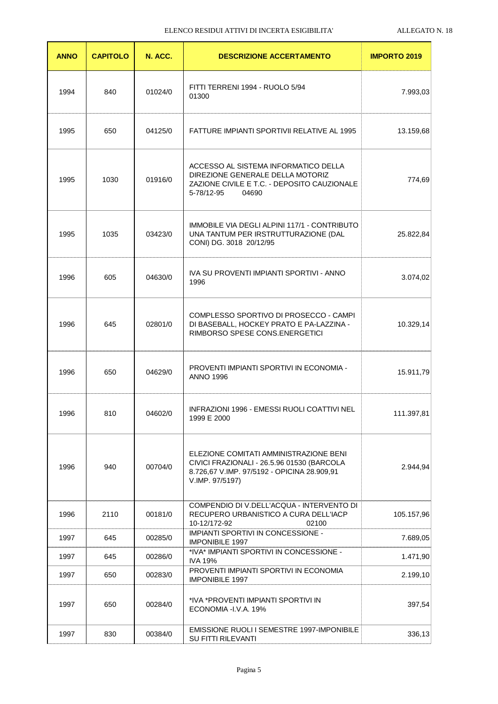| <b>ANNO</b> | <b>CAPITOLO</b> | N. ACC. | <b>DESCRIZIONE ACCERTAMENTO</b>                                                                                                                        | <b>IMPORTO 2019</b> |
|-------------|-----------------|---------|--------------------------------------------------------------------------------------------------------------------------------------------------------|---------------------|
| 1994        | 840             | 01024/0 | FITTI TERRENI 1994 - RUOLO 5/94<br>01300                                                                                                               | 7.993,03            |
| 1995        | 650             | 04125/0 | FATTURE IMPIANTI SPORTIVII RELATIVE AL 1995                                                                                                            | 13.159,68           |
| 1995        | 1030            | 01916/0 | ACCESSO AL SISTEMA INFORMATICO DELLA<br>DIREZIONE GENERALE DELLA MOTORIZ<br>ZAZIONE CIVILE E T.C. - DEPOSITO CAUZIONALE<br>5-78/12-95<br>04690         | 774,69              |
| 1995        | 1035            | 03423/0 | IMMOBILE VIA DEGLI ALPINI 117/1 - CONTRIBUTO<br>UNA TANTUM PER IRSTRUTTURAZIONE (DAL<br>CONI) DG. 3018 20/12/95                                        | 25.822,84           |
| 1996        | 605             | 04630/0 | IVA SU PROVENTI IMPIANTI SPORTIVI - ANNO<br>1996                                                                                                       | 3.074,02            |
| 1996        | 645             | 02801/0 | COMPLESSO SPORTIVO DI PROSECCO - CAMPI<br>DI BASEBALL, HOCKEY PRATO E PA-LAZZINA -<br>RIMBORSO SPESE CONS.ENERGETICI                                   | 10.329,14           |
| 1996        | 650             | 04629/0 | PROVENTI IMPIANTI SPORTIVI IN ECONOMIA -<br><b>ANNO 1996</b>                                                                                           | 15.911,79           |
| 1996        | 810             | 04602/0 | INFRAZIONI 1996 - EMESSI RUOLI COATTIVI NEL<br>1999 E 2000                                                                                             | 111.397,81          |
| 1996        | 940             | 00704/0 | ELEZIONE COMITATI AMMINISTRAZIONE BENI<br>CIVICI FRAZIONALI - 26.5.96 01530 (BARCOLA<br>8.726,67 V.IMP. 97/5192 - OPICINA 28.909,91<br>V.IMP. 97/5197) | 2.944,94            |
| 1996        | 2110            | 00181/0 | COMPENDIO DI V.DELL'ACQUA - INTERVENTO DI<br>RECUPERO URBANISTICO A CURA DELL'IACP<br>10-12/172-92<br>02100                                            | 105.157,96          |
| 1997        | 645             | 00285/0 | <b>IMPIANTI SPORTIVI IN CONCESSIONE -</b><br><b>IMPONIBILE 1997</b>                                                                                    | 7.689,05            |
| 1997        | 645             | 00286/0 | *IVA* IMPIANTI SPORTIVI IN CONCESSIONE -<br><b>IVA 19%</b>                                                                                             | 1.471,90            |
| 1997        | 650             | 00283/0 | PROVENTI IMPIANTI SPORTIVI IN ECONOMIA<br><b>IMPONIBILE 1997</b>                                                                                       | 2.199,10            |
| 1997        | 650             | 00284/0 | *IVA *PROVENTI IMPIANTI SPORTIVI IN<br>ECONOMIA - I.V.A. 19%                                                                                           | 397,54              |
| 1997        | 830             | 00384/0 | EMISSIONE RUOLI I SEMESTRE 1997-IMPONIBILE<br>SU FITTI RILEVANTI                                                                                       | 336,13              |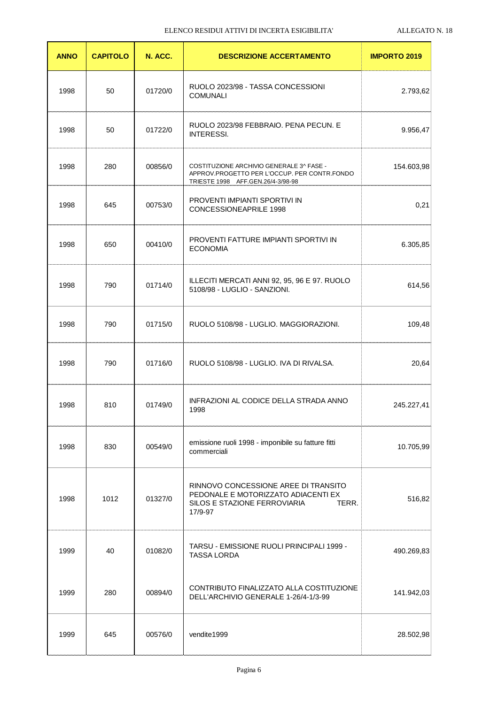| <b>ANNO</b> | <b>CAPITOLO</b> | N. ACC. | <b>DESCRIZIONE ACCERTAMENTO</b>                                                                                                 | <b>IMPORTO 2019</b> |
|-------------|-----------------|---------|---------------------------------------------------------------------------------------------------------------------------------|---------------------|
| 1998        | 50              | 01720/0 | RUOLO 2023/98 - TASSA CONCESSIONI<br><b>COMUNALI</b>                                                                            | 2.793,62            |
| 1998        | 50              | 01722/0 | RUOLO 2023/98 FEBBRAIO. PENA PECUN. E<br><b>INTERESSI.</b>                                                                      | 9.956,47            |
| 1998        | 280             | 00856/0 | COSTITUZIONE ARCHIVIO GENERALE 3^ FASE -<br>APPROV.PROGETTO PER L'OCCUP. PER CONTR.FONDO<br>TRIESTE 1998 AFF.GEN.26/4-3/98-98   | 154.603,98          |
| 1998        | 645             | 00753/0 | PROVENTI IMPIANTI SPORTIVI IN<br>CONCESSIONEAPRILE 1998                                                                         | 0,21                |
| 1998        | 650             | 00410/0 | PROVENTI FATTURE IMPIANTI SPORTIVI IN<br><b>ECONOMIA</b>                                                                        | 6.305,85            |
| 1998        | 790             | 01714/0 | ILLECITI MERCATI ANNI 92, 95, 96 E 97. RUOLO<br>5108/98 - LUGLIO - SANZIONI.                                                    | 614,56              |
| 1998        | 790             | 01715/0 | RUOLO 5108/98 - LUGLIO. MAGGIORAZIONI.                                                                                          | 109,48              |
| 1998        | 790             | 01716/0 | RUOLO 5108/98 - LUGLIO. IVA DI RIVALSA.                                                                                         | 20,64               |
| 1998        | 810             | 01749/0 | INFRAZIONI AL CODICE DELLA STRADA ANNO<br>1998                                                                                  | 245.227,41          |
| 1998        | 830             | 00549/0 | emissione ruoli 1998 - imponibile su fatture fitti<br>commerciali                                                               | 10.705,99           |
| 1998        | 1012            | 01327/0 | RINNOVO CONCESSIONE AREE DI TRANSITO<br>PEDONALE E MOTORIZZATO ADIACENTI EX<br>SILOS E STAZIONE FERROVIARIA<br>TERR.<br>17/9-97 | 516,82              |
| 1999        | 40              | 01082/0 | TARSU - EMISSIONE RUOLI PRINCIPALI 1999 -<br><b>TASSA LORDA</b>                                                                 | 490.269,83          |
| 1999        | 280             | 00894/0 | CONTRIBUTO FINALIZZATO ALLA COSTITUZIONE<br>DELL'ARCHIVIO GENERALE 1-26/4-1/3-99                                                | 141.942,03          |
| 1999        | 645             | 00576/0 | vendite1999                                                                                                                     | 28.502,98           |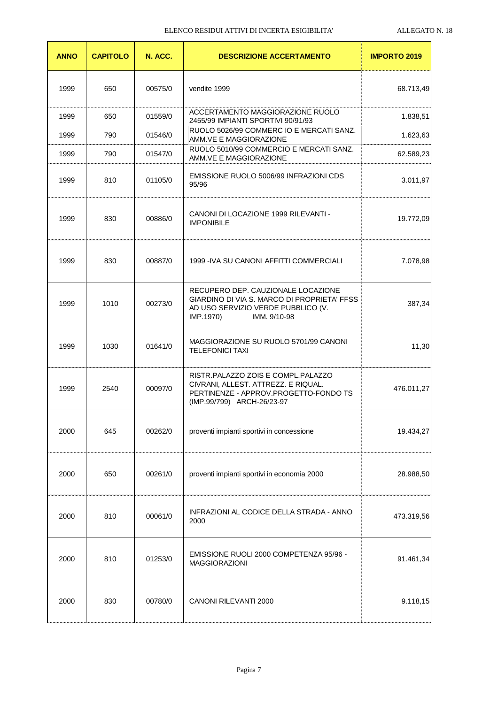| <b>ANNO</b> | <b>CAPITOLO</b> | N. ACC. | <b>DESCRIZIONE ACCERTAMENTO</b>                                                                                                                      | <b>IMPORTO 2019</b> |
|-------------|-----------------|---------|------------------------------------------------------------------------------------------------------------------------------------------------------|---------------------|
| 1999        | 650             | 00575/0 | vendite 1999                                                                                                                                         | 68.713,49           |
| 1999        | 650             | 01559/0 | ACCERTAMENTO MAGGIORAZIONE RUOLO<br>2455/99 IMPIANTI SPORTIVI 90/91/93                                                                               | 1.838,51            |
| 1999        | 790             | 01546/0 | RUOLO 5026/99 COMMERC IO E MERCATI SANZ.<br>AMM.VE E MAGGIORAZIONE                                                                                   | 1.623,63            |
| 1999        | 790             | 01547/0 | RUOLO 5010/99 COMMERCIO E MERCATI SANZ.<br>AMM.VE E MAGGIORAZIONE                                                                                    | 62.589,23           |
| 1999        | 810             | 01105/0 | EMISSIONE RUOLO 5006/99 INFRAZIONI CDS<br>95/96                                                                                                      | 3.011,97            |
| 1999        | 830             | 00886/0 | CANONI DI LOCAZIONE 1999 RILEVANTI -<br><b>IMPONIBILE</b>                                                                                            | 19.772,09           |
| 1999        | 830             | 00887/0 | 1999 - IVA SU CANONI AFFITTI COMMERCIALI                                                                                                             | 7.078,98            |
| 1999        | 1010            | 00273/0 | RECUPERO DEP. CAUZIONALE LOCAZIONE<br>GIARDINO DI VIA S. MARCO DI PROPRIETA' FFSS<br>AD USO SERVIZIO VERDE PUBBLICO (V.<br>IMP.1970)<br>IMM. 9/10-98 | 387,34              |
| 1999        | 1030            | 01641/0 | MAGGIORAZIONE SU RUOLO 5701/99 CANONI<br><b>TELEFONICI TAXI</b>                                                                                      | 11,30               |
| 1999        | 2540            | 00097/0 | RISTR.PALAZZO ZOIS E COMPL.PALAZZO<br>CIVRANI, ALLEST. ATTREZZ. E RIQUAL.<br>PERTINENZE - APPROV.PROGETTO-FONDO TS<br>(IMP.99/799) ARCH-26/23-97     | 476.011,27          |
| 2000        | 645             | 00262/0 | proventi impianti sportivi in concessione                                                                                                            | 19.434,27           |
| 2000        | 650             | 00261/0 | proventi impianti sportivi in economia 2000                                                                                                          | 28.988,50           |
| 2000        | 810             | 00061/0 | INFRAZIONI AL CODICE DELLA STRADA - ANNO<br>2000                                                                                                     | 473.319,56          |
| 2000        | 810             | 01253/0 | EMISSIONE RUOLI 2000 COMPETENZA 95/96 -<br><b>MAGGIORAZIONI</b>                                                                                      | 91.461,34           |
| 2000        | 830             | 00780/0 | CANONI RILEVANTI 2000                                                                                                                                | 9.118,15            |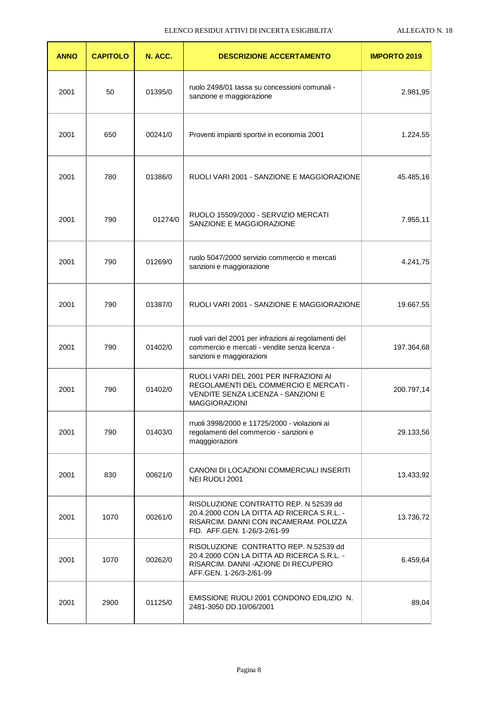| <b>ANNO</b> | <b>CAPITOLO</b> | N. ACC. | <b>DESCRIZIONE ACCERTAMENTO</b>                                                                                                                               | <b>IMPORTO 2019</b> |
|-------------|-----------------|---------|---------------------------------------------------------------------------------------------------------------------------------------------------------------|---------------------|
| 2001        | 50              | 01395/0 | ruolo 2498/01 tassa su concessioni comunali -<br>sanzione e maggiorazione                                                                                     | 2.981,95            |
| 2001        | 650             | 00241/0 | Proventi impianti sportivi in economia 2001                                                                                                                   | 1.224,55            |
| 2001        | 780             | 01386/0 | RUOLI VARI 2001 - SANZIONE E MAGGIORAZIONE                                                                                                                    | 45.485,16           |
| 2001        | 790             | 01274/0 | RUOLO 15509/2000 - SERVIZIO MERCATI<br>SANZIONE E MAGGIORAZIONE                                                                                               | 7.955,11            |
| 2001        | 790             | 01269/0 | ruolo 5047/2000 servizio commercio e mercati<br>sanzioni e maggiorazione                                                                                      | 4.241,75            |
| 2001        | 790             | 01387/0 | RUOLI VARI 2001 - SANZIONE E MAGGIORAZIONE                                                                                                                    | 19.667,55           |
| 2001        | 790             | 01402/0 | ruoli vari del 2001 per infrazioni ai regolamenti del<br>commercio e mercati - vendite senza licenza -<br>sanzioni e maggiorazioni                            | 197.364,68          |
| 2001        | 790             | 01402/0 | RUOLI VARI DEL 2001 PER INFRAZIONI AI<br>REGOLAMENTI DEL COMMERCIO E MERCATI -<br>VENDITE SENZA LICENZA - SANZIONI E<br><b>MAGGIORAZIONI</b>                  | 200.797,14          |
| 2001        | 790             | 01403/0 | rruoli 3998/2000 e 11725/2000 - violazioni ai<br>regolamenti del commercio - sanzioni e<br>maqggiorazioni                                                     | 29.133,56           |
| 2001        | 830             | 00621/0 | CANONI DI LOCAZIONI COMMERCIALI INSERITI<br>NEI RUOLI 2001                                                                                                    | 13.433,92           |
| 2001        | 1070            | 00261/0 | RISOLUZIONE CONTRATTO REP. N 52539 dd<br>20.4.2000 CON LA DITTA AD RICERCA S.R.L. -<br>RISARCIM. DANNI CON INCAMERAM. POLIZZA<br>FID. AFF.GEN. 1-26/3-2/61-99 | 13.736,72           |
| 2001        | 1070            | 00262/0 | RISOLUZIONE CONTRATTO REP. N.52539 dd<br>20.4.2000 CON LA DITTA AD RICERCA S.R.L. -<br>RISARCIM. DANNI - AZIONE DI RECUPERO<br>AFF.GEN. 1-26/3-2/61-99        | 6.459,64            |
| 2001        | 2900            | 01125/0 | EMISSIONE RUOLI 2001 CONDONO EDILIZIO N.<br>2481-3050 DD.10/06/2001                                                                                           | 89,04               |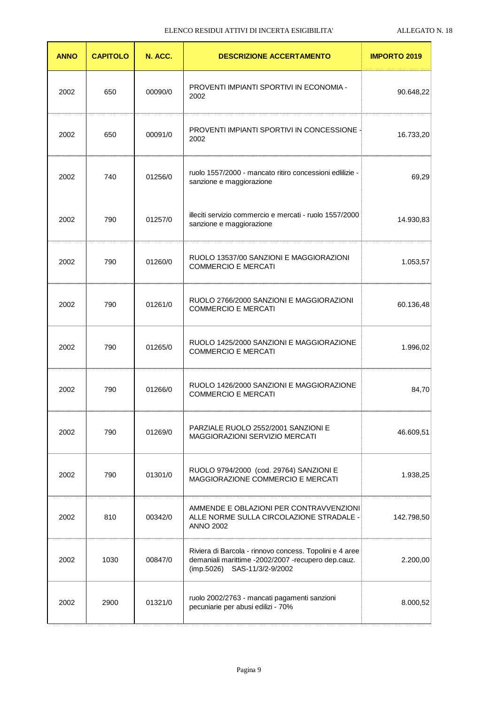| <b>ANNO</b> | <b>CAPITOLO</b> | N. ACC. | <b>DESCRIZIONE ACCERTAMENTO</b>                                                                                                               | <b>IMPORTO 2019</b> |
|-------------|-----------------|---------|-----------------------------------------------------------------------------------------------------------------------------------------------|---------------------|
| 2002        | 650             | 00090/0 | PROVENTI IMPIANTI SPORTIVI IN ECONOMIA -<br>2002                                                                                              | 90.648,22           |
| 2002        | 650             | 00091/0 | PROVENTI IMPIANTI SPORTIVI IN CONCESSIONE -<br>2002                                                                                           | 16.733,20           |
| 2002        | 740             | 01256/0 | ruolo 1557/2000 - mancato ritiro concessioni edlilizie -<br>sanzione e maggiorazione                                                          | 69,29               |
| 2002        | 790             | 01257/0 | illeciti servizio commercio e mercati - ruolo 1557/2000<br>sanzione e maggiorazione                                                           | 14.930,83           |
| 2002        | 790             | 01260/0 | RUOLO 13537/00 SANZIONI E MAGGIORAZIONI<br><b>COMMERCIO E MERCATI</b>                                                                         | 1.053,57            |
| 2002        | 790             | 01261/0 | RUOLO 2766/2000 SANZIONI E MAGGIORAZIONI<br><b>COMMERCIO E MERCATI</b>                                                                        | 60.136,48           |
| 2002        | 790             | 01265/0 | RUOLO 1425/2000 SANZIONI E MAGGIORAZIONE<br><b>COMMERCIO E MERCATI</b>                                                                        | 1.996,02            |
| 2002        | 790             | 01266/0 | RUOLO 1426/2000 SANZIONI E MAGGIORAZIONE<br><b>COMMERCIO E MERCATI</b>                                                                        | 84,70               |
| 2002        | 790             | 01269/0 | PARZIALE RUOLO 2552/2001 SANZIONI E<br>MAGGIORAZIONI SERVIZIO MERCATI                                                                         | 46.609,51           |
| 2002        | 790             | 01301/0 | RUOLO 9794/2000 (cod. 29764) SANZIONI E<br>MAGGIORAZIONE COMMERCIO E MERCATI                                                                  | 1.938,25            |
| 2002        | 810             | 00342/0 | AMMENDE E OBLAZIONI PER CONTRAVVENZIONI<br>ALLE NORME SULLA CIRCOLAZIONE STRADALE -<br><b>ANNO 2002</b>                                       | 142.798,50          |
| 2002        | 1030            | 00847/0 | Riviera di Barcola - rinnovo concess. Topolini e 4 aree<br>demaniali marittime -2002/2007 -recupero dep.cauz.<br>(imp.5026) SAS-11/3/2-9/2002 | 2.200,00            |
| 2002        | 2900            | 01321/0 | ruolo 2002/2763 - mancati pagamenti sanzioni<br>pecuniarie per abusi edilizi - 70%                                                            | 8.000,52            |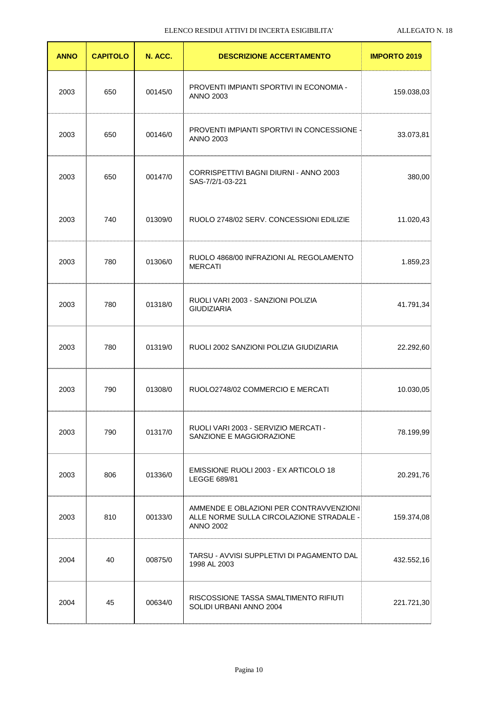| <b>ANNO</b> | <b>CAPITOLO</b> | N. ACC. | <b>DESCRIZIONE ACCERTAMENTO</b>                                                                         | <b>IMPORTO 2019</b> |
|-------------|-----------------|---------|---------------------------------------------------------------------------------------------------------|---------------------|
| 2003        | 650             | 00145/0 | PROVENTI IMPIANTI SPORTIVI IN ECONOMIA -<br><b>ANNO 2003</b>                                            | 159.038,03          |
| 2003        | 650             | 00146/0 | <b>PROVENTI IMPIANTI SPORTIVI IN CONCESSIONE -</b><br><b>ANNO 2003</b>                                  | 33.073,81           |
| 2003        | 650             | 00147/0 | CORRISPETTIVI BAGNI DIURNI - ANNO 2003<br>SAS-7/2/1-03-221                                              | 380,00              |
| 2003        | 740             | 01309/0 | RUOLO 2748/02 SERV. CONCESSIONI EDILIZIE                                                                | 11.020,43           |
| 2003        | 780             | 01306/0 | RUOLO 4868/00 INFRAZIONI AL REGOLAMENTO<br><b>MERCATI</b>                                               | 1.859,23            |
| 2003        | 780             | 01318/0 | RUOLI VARI 2003 - SANZIONI POLIZIA<br><b>GIUDIZIARIA</b>                                                | 41.791,34           |
| 2003        | 780             | 01319/0 | RUOLI 2002 SANZIONI POLIZIA GIUDIZIARIA                                                                 | 22.292,60           |
| 2003        | 790             | 01308/0 | RUOLO2748/02 COMMERCIO E MERCATI                                                                        | 10.030,05           |
| 2003        | 790             | 01317/0 | RUOLI VARI 2003 - SERVIZIO MERCATI -<br>SANZIONE E MAGGIORAZIONE                                        | 78.199,99           |
| 2003        | 806             | 01336/0 | EMISSIONE RUOLI 2003 - EX ARTICOLO 18<br>LEGGE 689/81                                                   | 20.291,76           |
| 2003        | 810             | 00133/0 | AMMENDE E OBLAZIONI PER CONTRAVVENZIONI<br>ALLE NORME SULLA CIRCOLAZIONE STRADALE -<br><b>ANNO 2002</b> | 159.374,08          |
| 2004        | 40              | 00875/0 | TARSU - AVVISI SUPPLETIVI DI PAGAMENTO DAL<br>1998 AL 2003                                              | 432.552,16          |
| 2004        | 45              | 00634/0 | RISCOSSIONE TASSA SMALTIMENTO RIFIUTI<br>SOLIDI URBANI ANNO 2004                                        | 221.721,30          |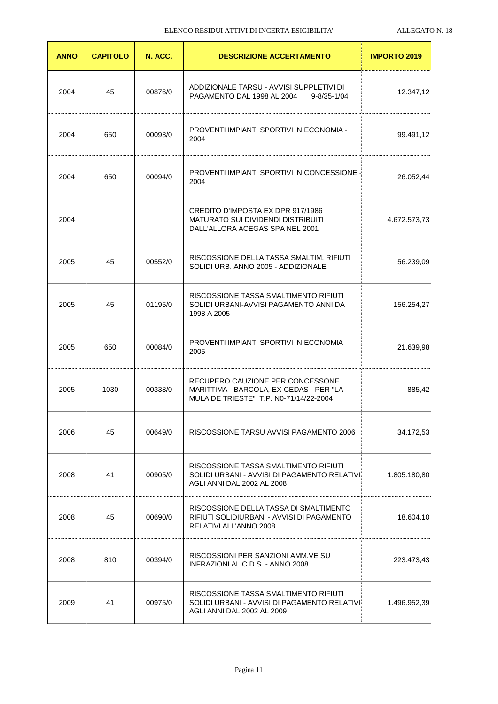| <b>ANNO</b> | <b>CAPITOLO</b> | N. ACC. | <b>DESCRIZIONE ACCERTAMENTO</b>                                                                                       | <b>IMPORTO 2019</b> |
|-------------|-----------------|---------|-----------------------------------------------------------------------------------------------------------------------|---------------------|
| 2004        | 45              | 00876/0 | ADDIZIONALE TARSU - AVVISI SUPPLETIVI DI<br>PAGAMENTO DAL 1998 AL 2004 9-8/35-1/04                                    | 12.347,12           |
| 2004        | 650             | 00093/0 | PROVENTI IMPIANTI SPORTIVI IN ECONOMIA -<br>2004                                                                      | 99.491,12           |
| 2004        | 650             | 00094/0 | <b>PROVENTI IMPIANTI SPORTIVI IN CONCESSIONE 4</b><br>2004                                                            | 26.052,44           |
| 2004        |                 |         | CREDITO D'IMPOSTA EX DPR 917/1986<br><b>MATURATO SUI DIVIDENDI DISTRIBUITI</b><br>DALL'ALLORA ACEGAS SPA NEL 2001     | 4.672.573,73        |
| 2005        | 45              | 00552/0 | RISCOSSIONE DELLA TASSA SMALTIM. RIFIUTI<br>SOLIDI URB. ANNO 2005 - ADDIZIONALE                                       | 56.239,09           |
| 2005        | 45              | 01195/0 | RISCOSSIONE TASSA SMALTIMENTO RIFIUTI<br>SOLIDI URBANI-AVVISI PAGAMENTO ANNI DA<br>1998 A 2005 -                      | 156.254,27          |
| 2005        | 650             | 00084/0 | PROVENTI IMPIANTI SPORTIVI IN ECONOMIA<br>2005                                                                        | 21.639,98           |
| 2005        | 1030            | 00338/0 | RECUPERO CAUZIONE PER CONCESSONE<br>MARITTIMA - BARCOLA, EX-CEDAS - PER "LA<br>MULA DE TRIESTE" T.P. N0-71/14/22-2004 | 885,42              |
| 2006        | 45              | 00649/0 | RISCOSSIONE TARSU AVVISI PAGAMENTO 2006                                                                               | 34.172,53           |
| 2008        | 41              | 00905/0 | RISCOSSIONE TASSA SMALTIMENTO RIFIUTI<br>SOLIDI URBANI - AVVISI DI PAGAMENTO RELATIVI<br>AGLI ANNI DAL 2002 AL 2008   | 1.805.180,80        |
| 2008        | 45              | 00690/0 | RISCOSSIONE DELLA TASSA DI SMALTIMENTO<br>RIFIUTI SOLIDIURBANI - AVVISI DI PAGAMENTO<br>RELATIVI ALL'ANNO 2008        | 18.604,10           |
| 2008        | 810             | 00394/0 | RISCOSSIONI PER SANZIONI AMM.VE SU<br>INFRAZIONI AL C.D.S. - ANNO 2008.                                               | 223.473,43          |
| 2009        | 41              | 00975/0 | RISCOSSIONE TASSA SMALTIMENTO RIFIUTI<br>SOLIDI URBANI - AVVISI DI PAGAMENTO RELATIVI<br>AGLI ANNI DAL 2002 AL 2009   | 1.496.952,39        |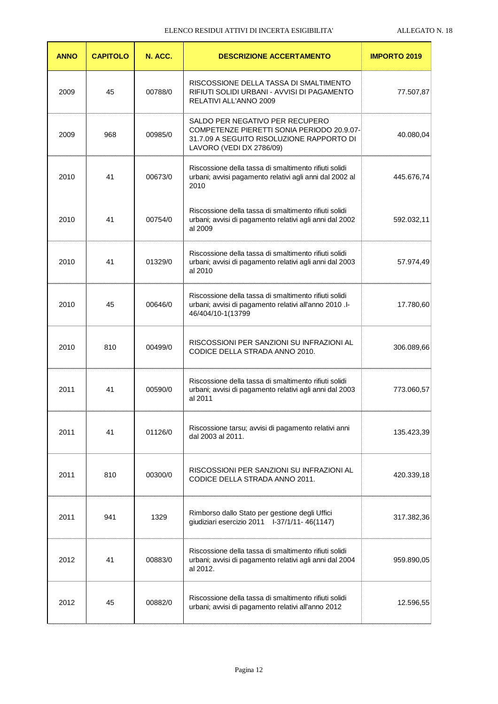| <b>ANNO</b> | <b>CAPITOLO</b> | N. ACC. | <b>DESCRIZIONE ACCERTAMENTO</b>                                                                                                                        | <b>IMPORTO 2019</b> |
|-------------|-----------------|---------|--------------------------------------------------------------------------------------------------------------------------------------------------------|---------------------|
| 2009        | 45              | 00788/0 | RISCOSSIONE DELLA TASSA DI SMALTIMENTO<br>RIFIUTI SOLIDI URBANI - AVVISI DI PAGAMENTO<br>RELATIVI ALL'ANNO 2009                                        | 77.507,87           |
| 2009        | 968             | 00985/0 | SALDO PER NEGATIVO PER RECUPERO<br>COMPETENZE PIERETTI SONIA PERIODO 20.9.07-<br>31.7.09 A SEGUITO RISOLUZIONE RAPPORTO DI<br>LAVORO (VEDI DX 2786/09) | 40.080,04           |
| 2010        | 41              | 00673/0 | Riscossione della tassa di smaltimento rifiuti solidi<br>urbani; avvisi pagamento relativi agli anni dal 2002 al<br>2010                               | 445.676,74          |
| 2010        | 41              | 00754/0 | Riscossione della tassa di smaltimento rifiuti solidi<br>urbani; avvisi di pagamento relativi agli anni dal 2002<br>al 2009                            | 592.032,11          |
| 2010        | 41              | 01329/0 | Riscossione della tassa di smaltimento rifiuti solidi<br>urbani; avvisi di pagamento relativi agli anni dal 2003<br>al 2010                            | 57.974,49           |
| 2010        | 45              | 00646/0 | Riscossione della tassa di smaltimento rifiuti solidi<br>urbani; avvisi di pagamento relativi all'anno 2010 .l-<br>46/404/10-1(13799                   | 17.780,60           |
| 2010        | 810             | 00499/0 | RISCOSSIONI PER SANZIONI SU INFRAZIONI AL<br>CODICE DELLA STRADA ANNO 2010.                                                                            | 306.089,66          |
| 2011        | 41              | 00590/0 | Riscossione della tassa di smaltimento rifiuti solidi<br>urbani; avvisi di pagamento relativi agli anni dal 2003<br>al 2011                            | 773.060,57          |
| 2011        | 41              | 01126/0 | Riscossione tarsu; avvisi di pagamento relativi anni<br>dal 2003 al 2011.                                                                              | 135.423,39          |
| 2011        | 810             | 00300/0 | RISCOSSIONI PER SANZIONI SU INFRAZIONI AL<br>CODICE DELLA STRADA ANNO 2011.                                                                            | 420.339,18          |
| 2011        | 941             | 1329    | Rimborso dallo Stato per gestione degli Uffici<br>giudiziari esercizio 2011 l-37/1/11-46(1147)                                                         | 317.382,36          |
| 2012        | 41              | 00883/0 | Riscossione della tassa di smaltimento rifiuti solidi<br>urbani; avvisi di pagamento relativi agli anni dal 2004<br>al 2012.                           | 959.890,05          |
| 2012        | 45              | 00882/0 | Riscossione della tassa di smaltimento rifiuti solidi<br>urbani; avvisi di pagamento relativi all'anno 2012                                            | 12.596,55           |